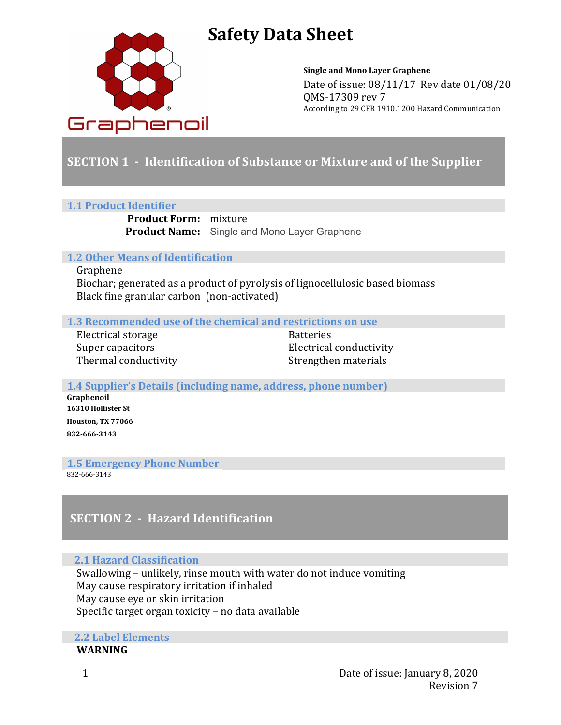

# **Safety Data Sheet**

**Single and Mono Layer Graphene** Date of issue:  $08/11/17$  Rev date  $01/08/20$ QMS-17309 rev 7 According to 29 CFR 1910.1200 Hazard Communication

# **SECTION 1** - Identification of Substance or Mixture and of the Supplier

#### **1.1 Product Identifier**

**Product Form:** mixture **Product Name:** Single and Mono Layer Graphene

### **1.2 Other Means of Identification**

#### Graphene

Biochar; generated as a product of pyrolysis of lignocellulosic based biomass Black fine granular carbon (non-activated)

#### **1.3** Recommended use of the chemical and restrictions on use

Electrical storage Batteries Thermal conductivity **Strengthen** materials

Super capacitors **Electrical** conductivity

**1.4 Supplier's Details (including name, address, phone number) Graphenoil 16310 Hollister St Houston, TX 77066**  865-376-9002 **832-666-3143**

**1.5 Emergency Phone Number** 

832-666-3143

# **SECTION 2 - Hazard Identification**

### **2.1 Hazard Classification**

Swallowing – unlikely, rinse mouth with water do not induce vomiting May cause respiratory irritation if inhaled May cause eye or skin irritation Specific target organ toxicity  $-$  no data available

**2.2 Label Elements WARNING**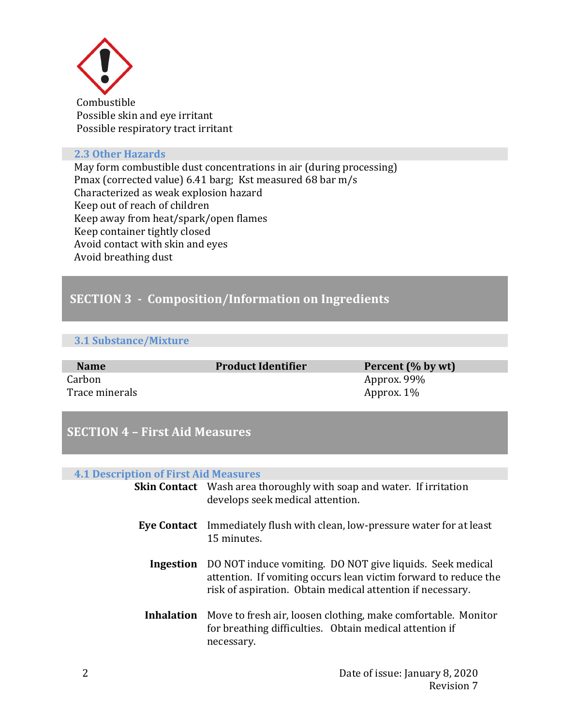

 Combustible Possible skin and eye irritant Possible respiratory tract irritant

#### **2.3 Other Hazards**

May form combustible dust concentrations in air (during processing) Pmax (corrected value) 6.41 barg; Kst measured 68 bar m/s Characterized as weak explosion hazard Keep out of reach of children Keep away from heat/spark/open flames Keep container tightly closed Avoid contact with skin and eyes Avoid breathing dust

# **SECTION 3 - Composition/Information on Ingredients**

### **3.1 Substance/Mixture**

| <b>Name</b>    | <b>Product Identifier</b> | Percent (% by wt) |
|----------------|---------------------------|-------------------|
| Carbon         |                           | Approx. 99%       |
| Trace minerals |                           | Approx. 1%        |

# **SECTION 4 - First Aid Measures**

#### **4.1 Description of First Aid Measures**

| <b>Skin Contact</b> Wash area thoroughly with soap and water. If irritation<br>develops seek medical attention.                                                                                             |
|-------------------------------------------------------------------------------------------------------------------------------------------------------------------------------------------------------------|
| <b>Eye Contact</b> Immediately flush with clean, low-pressure water for at least<br>15 minutes.                                                                                                             |
| <b>Ingestion</b> DO NOT induce vomiting. DO NOT give liquids. Seek medical<br>attention. If vomiting occurs lean victim forward to reduce the<br>risk of aspiration. Obtain medical attention if necessary. |
| <b>Inhalation</b> Move to fresh air, loosen clothing, make comfortable. Monitor<br>for breathing difficulties. Obtain medical attention if<br>necessary.                                                    |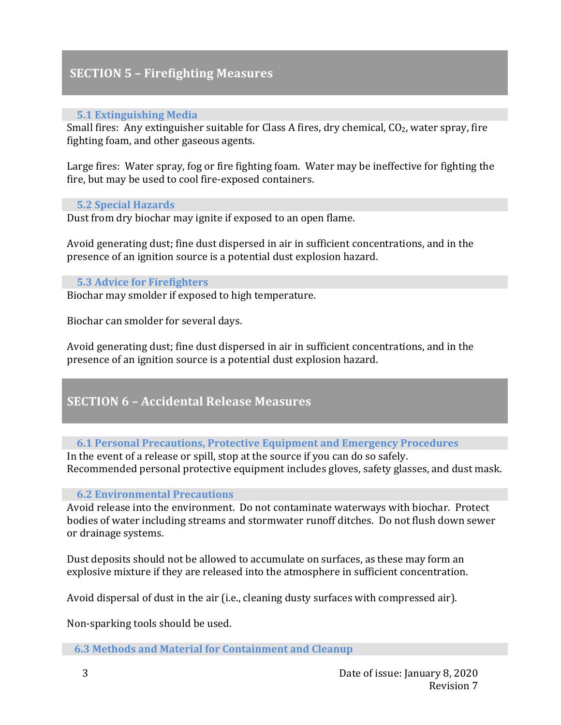## **SECTION 5 - Firefighting Measures**

### **5.1 Extinguishing Media**

Small fires: Any extinguisher suitable for Class A fires, dry chemical,  $CO<sub>2</sub>$ , water spray, fire fighting foam, and other gaseous agents.

Large fires: Water spray, fog or fire fighting foam. Water may be ineffective for fighting the fire, but may be used to cool fire-exposed containers.

#### **5.2 Special Hazards**

Dust from dry biochar may ignite if exposed to an open flame.

Avoid generating dust; fine dust dispersed in air in sufficient concentrations, and in the presence of an ignition source is a potential dust explosion hazard.

### **5.3 Advice for Firefighters**

Biochar may smolder if exposed to high temperature.

Biochar can smolder for several days.

Avoid generating dust; fine dust dispersed in air in sufficient concentrations, and in the presence of an ignition source is a potential dust explosion hazard.

### **SECTION 6 – Accidental Release Measures**

### 6.1 Personal Precautions, Protective Equipment and Emergency Procedures

In the event of a release or spill, stop at the source if you can do so safely. Recommended personal protective equipment includes gloves, safety glasses, and dust mask.

### **6.2 Environmental Precautions**

Avoid release into the environment. Do not contaminate waterways with biochar. Protect bodies of water including streams and stormwater runoff ditches. Do not flush down sewer or drainage systems.

Dust deposits should not be allowed to accumulate on surfaces, as these may form an explosive mixture if they are released into the atmosphere in sufficient concentration.

Avoid dispersal of dust in the air (i.e., cleaning dusty surfaces with compressed air).

Non-sparking tools should be used.

**6.3 Methods and Material for Containment and Cleanup**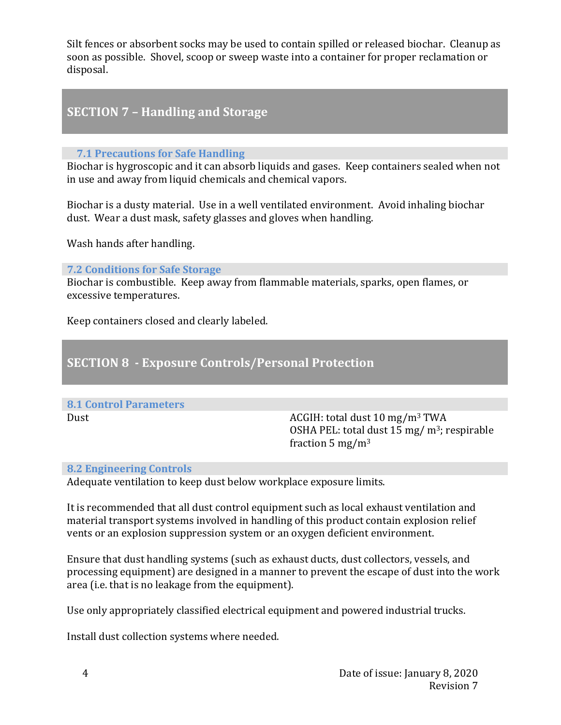Silt fences or absorbent socks may be used to contain spilled or released biochar. Cleanup as soon as possible. Shovel, scoop or sweep waste into a container for proper reclamation or disposal.

# **SECTION 7 - Handling and Storage**

### **7.1 Precautions for Safe Handling**

Biochar is hygroscopic and it can absorb liquids and gases. Keep containers sealed when not in use and away from liquid chemicals and chemical vapors.

Biochar is a dusty material. Use in a well ventilated environment. Avoid inhaling biochar dust. Wear a dust mask, safety glasses and gloves when handling.

Wash hands after handling.

**7.2 Conditions for Safe Storage** 

Biochar is combustible. Keep away from flammable materials, sparks, open flames, or excessive temperatures.

Keep containers closed and clearly labeled.

### **SECTION 8 - Exposure Controls/Personal Protection**

# **8.1 Control Parameters**

Dust Dust and Dust and Dust and ACGIH: total dust 10 mg/m<sup>3</sup> TWA OSHA PEL: total dust  $15 \text{ mg/m}^3$ ; respirable fraction  $5 \text{ mg/m}^3$ 

### **8.2 Engineering Controls**

Adequate ventilation to keep dust below workplace exposure limits.

It is recommended that all dust control equipment such as local exhaust ventilation and material transport systems involved in handling of this product contain explosion relief vents or an explosion suppression system or an oxygen deficient environment.

Ensure that dust handling systems (such as exhaust ducts, dust collectors, vessels, and processing equipment) are designed in a manner to prevent the escape of dust into the work area (i.e. that is no leakage from the equipment).

Use only appropriately classified electrical equipment and powered industrial trucks.

Install dust collection systems where needed.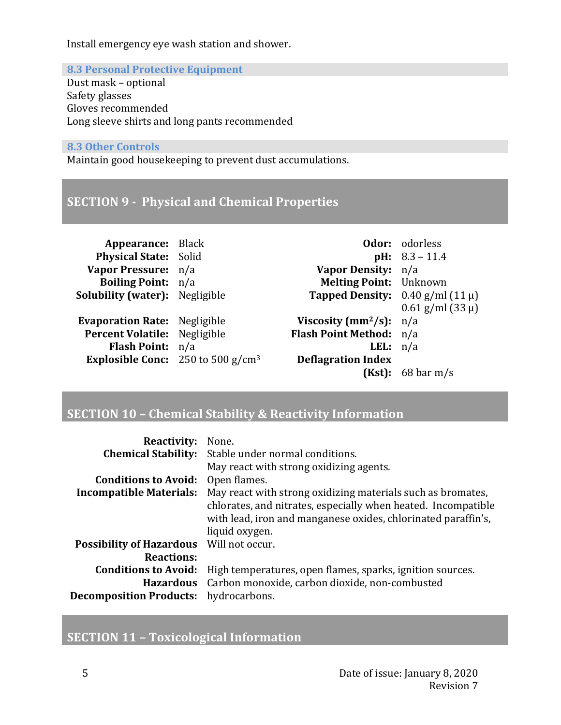Install emergency eye wash station and shower.

### **8.3 Personal Protective Equipment**

Dust mask - optional Safety glasses Gloves recommended Long sleeve shirts and long pants recommended

### **8.3 Other Controls**

Maintain good housekeeping to prevent dust accumulations.

### **SECTION 9 - Physical and Chemical Properties**

| <b>Appearance:</b> Black                    |                                           | <b>Odor:</b> odorless             |
|---------------------------------------------|-------------------------------------------|-----------------------------------|
| Physical State: Solid                       |                                           | <b>pH:</b> $8.3 - 11.4$           |
| Vapor Pressure: n/a                         | Vapor Density: n/a                        |                                   |
| <b>Boiling Point:</b> n/a                   | <b>Melting Point:</b> Unknown             |                                   |
| <b>Solubility (water):</b> Negligible       | <b>Tapped Density:</b> $0.40$ g/ml (11 µ) |                                   |
|                                             |                                           | $0.61$ g/ml (33 µ)                |
| <b>Evaporation Rate:</b> Negligible         | Viscosity ( $mm^2/s$ ): $n/a$             |                                   |
| Percent Volatile: Negligible                | Flash Point Method: n/a                   |                                   |
| Flash Point: n/a                            | <b>LEL</b> : $n/a$                        |                                   |
| <b>Explosible Conc:</b> 250 to 500 $g/cm^3$ | <b>Deflagration Index</b>                 |                                   |
|                                             | (Kst):                                    | $68 \,\mathrm{bar}\,\mathrm{m/s}$ |

### **SECTION 10 - Chemical Stability & Reactivity Information**

| <b>Reactivity:</b> None.                     |                                                                                                                                                                                                                 |
|----------------------------------------------|-----------------------------------------------------------------------------------------------------------------------------------------------------------------------------------------------------------------|
|                                              | <b>Chemical Stability:</b> Stable under normal conditions.                                                                                                                                                      |
|                                              | May react with strong oxidizing agents.                                                                                                                                                                         |
| <b>Conditions to Avoid:</b>                  | Open flames.                                                                                                                                                                                                    |
| <b>Incompatible Materials:</b>               | May react with strong oxidizing materials such as bromates,<br>chlorates, and nitrates, especially when heated. Incompatible<br>with lead, iron and manganese oxides, chlorinated paraffin's,<br>liquid oxygen. |
| Possibility of Hazardous Will not occur.     |                                                                                                                                                                                                                 |
| <b>Reactions:</b>                            |                                                                                                                                                                                                                 |
| <b>Conditions to Avoid:</b>                  | High temperatures, open flames, sparks, ignition sources.                                                                                                                                                       |
|                                              | Hazardous Carbon monoxide, carbon dioxide, non-combusted                                                                                                                                                        |
| <b>Decomposition Products:</b> hydrocarbons. |                                                                                                                                                                                                                 |
|                                              |                                                                                                                                                                                                                 |

## **SECTION 11 - Toxicological Information**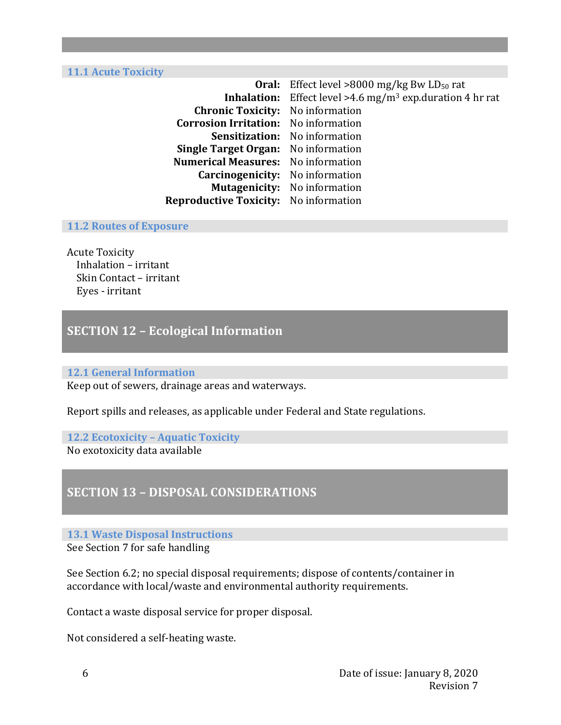**11.1 Acute Toxicity** 

| <b>Oral:</b> Effect level >8000 mg/kg Bw $LD_{50}$ rat                   |  |
|--------------------------------------------------------------------------|--|
| Effect level >4.6 mg/m <sup>3</sup> exp.duration 4 hr rat<br>Inhalation: |  |
| <b>Chronic Toxicity:</b> No information                                  |  |
| <b>Corrosion Irritation:</b> No information                              |  |
| Sensitization: No information                                            |  |
| <b>Single Target Organ:</b> No information                               |  |
| <b>Numerical Measures:</b> No information                                |  |
| <b>Carcinogenicity:</b> No information                                   |  |
| <b>Mutagenicity:</b> No information                                      |  |
| <b>Reproductive Toxicity:</b> No information                             |  |
|                                                                          |  |

#### **11.2 Routes of Exposure**

**Acute Toxicity** Inhalation – irritant Skin Contact – irritant Eyes - irritant

### **SECTION 12 - Ecological Information**

#### **12.1 General Information**

Keep out of sewers, drainage areas and waterways.

Report spills and releases, as applicable under Federal and State regulations.

#### **12.2 Ecotoxicity – Aquatic Toxicity** No exotoxicity data available

### **SECTION 13 - DISPOSAL CONSIDERATIONS**

#### **13.1 Waste Disposal Instructions**

See Section 7 for safe handling

See Section 6.2; no special disposal requirements; dispose of contents/container in accordance with local/waste and environmental authority requirements.

Contact a waste disposal service for proper disposal.

Not considered a self-heating waste.